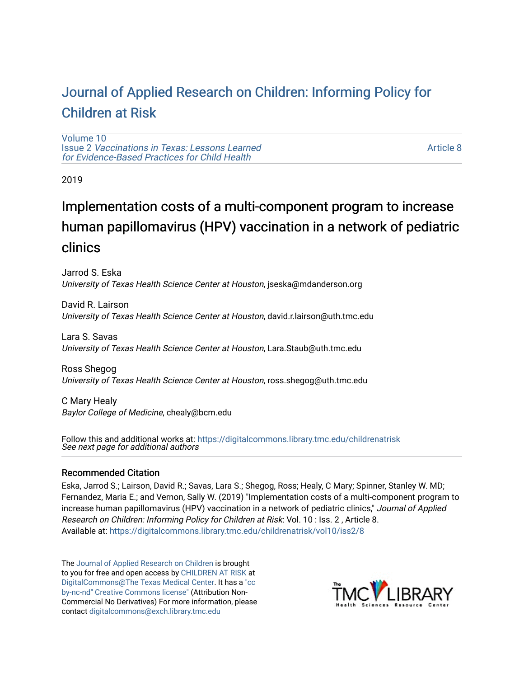# [Journal of Applied Research on Children: Informing Policy for](https://digitalcommons.library.tmc.edu/childrenatrisk) [Children at Risk](https://digitalcommons.library.tmc.edu/childrenatrisk)

[Volume 10](https://digitalcommons.library.tmc.edu/childrenatrisk/vol10) Issue 2 [Vaccinations in Texas: Lessons Learned](https://digitalcommons.library.tmc.edu/childrenatrisk/vol10/iss2)  [for Evidence-Based Practices for Child Health](https://digitalcommons.library.tmc.edu/childrenatrisk/vol10/iss2)

[Article 8](https://digitalcommons.library.tmc.edu/childrenatrisk/vol10/iss2/8) 

2019

# Implementation costs of a multi-component program to increase human papillomavirus (HPV) vaccination in a network of pediatric clinics

Jarrod S. Eska University of Texas Health Science Center at Houston, jseska@mdanderson.org

David R. Lairson University of Texas Health Science Center at Houston, david.r.lairson@uth.tmc.edu

Lara S. Savas University of Texas Health Science Center at Houston, Lara.Staub@uth.tmc.edu

Ross Shegog University of Texas Health Science Center at Houston, ross.shegog@uth.tmc.edu

C Mary Healy Baylor College of Medicine, chealy@bcm.edu

See next page for additional authors Follow this and additional works at: [https://digitalcommons.library.tmc.edu/childrenatrisk](https://digitalcommons.library.tmc.edu/childrenatrisk?utm_source=digitalcommons.library.tmc.edu%2Fchildrenatrisk%2Fvol10%2Fiss2%2F8&utm_medium=PDF&utm_campaign=PDFCoverPages) 

#### Recommended Citation

Eska, Jarrod S.; Lairson, David R.; Savas, Lara S.; Shegog, Ross; Healy, C Mary; Spinner, Stanley W. MD; Fernandez, Maria E.; and Vernon, Sally W. (2019) "Implementation costs of a multi-component program to increase human papillomavirus (HPV) vaccination in a network of pediatric clinics," Journal of Applied Research on Children: Informing Policy for Children at Risk: Vol. 10 : Iss. 2 , Article 8. Available at: [https://digitalcommons.library.tmc.edu/childrenatrisk/vol10/iss2/8](https://digitalcommons.library.tmc.edu/childrenatrisk/vol10/iss2/8?utm_source=digitalcommons.library.tmc.edu%2Fchildrenatrisk%2Fvol10%2Fiss2%2F8&utm_medium=PDF&utm_campaign=PDFCoverPages) 

The [Journal of Applied Research on Children](http://digitalcommons.library.tmc.edu/childrenatrisk) is brought to you for free and open access by [CHILDREN AT RISK](http://childrenatrisk.org/) at [DigitalCommons@The Texas Medical Center](http://digitalcommons.library.tmc.edu/). It has a ["cc](http://creativecommons.org/licenses/by-nc-nd/3.0/)  [by-nc-nd" Creative Commons license"](http://creativecommons.org/licenses/by-nc-nd/3.0/) (Attribution Non-Commercial No Derivatives) For more information, please contact [digitalcommons@exch.library.tmc.edu](mailto:digitalcommons@exch.library.tmc.edu) 

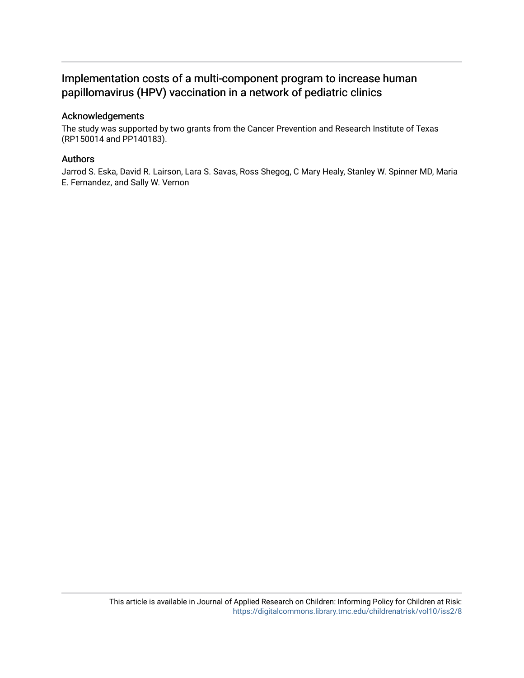## Implementation costs of a multi-component program to increase human papillomavirus (HPV) vaccination in a network of pediatric clinics

#### Acknowledgements

The study was supported by two grants from the Cancer Prevention and Research Institute of Texas (RP150014 and PP140183).

#### Authors

Jarrod S. Eska, David R. Lairson, Lara S. Savas, Ross Shegog, C Mary Healy, Stanley W. Spinner MD, Maria E. Fernandez, and Sally W. Vernon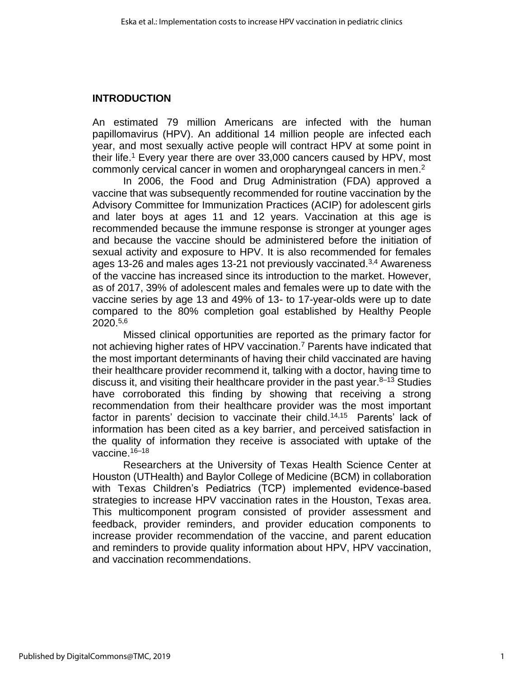#### **INTRODUCTION**

An estimated 79 million Americans are infected with the human papillomavirus (HPV). An additional 14 million people are infected each year, and most sexually active people will contract HPV at some point in their life. <sup>1</sup> Every year there are over 33,000 cancers caused by HPV, most commonly cervical cancer in women and oropharyngeal cancers in men.<sup>2</sup>

In 2006, the Food and Drug Administration (FDA) approved a vaccine that was subsequently recommended for routine vaccination by the Advisory Committee for Immunization Practices (ACIP) for adolescent girls and later boys at ages 11 and 12 years. Vaccination at this age is recommended because the immune response is stronger at younger ages and because the vaccine should be administered before the initiation of sexual activity and exposure to HPV. It is also recommended for females ages 13-26 and males ages 13-21 not previously vaccinated.<sup>3,4</sup> Awareness of the vaccine has increased since its introduction to the market. However, as of 2017, 39% of adolescent males and females were up to date with the vaccine series by age 13 and 49% of 13- to 17-year-olds were up to date compared to the 80% completion goal established by Healthy People 2020. 5,6

Missed clinical opportunities are reported as the primary factor for not achieving higher rates of HPV vaccination. <sup>7</sup> Parents have indicated that the most important determinants of having their child vaccinated are having their healthcare provider recommend it, talking with a doctor, having time to discuss it, and visiting their healthcare provider in the past year.<sup>8–13</sup> Studies have corroborated this finding by showing that receiving a strong recommendation from their healthcare provider was the most important factor in parents' decision to vaccinate their child.<sup>14,15</sup> Parents' lack of information has been cited as a key barrier, and perceived satisfaction in the quality of information they receive is associated with uptake of the vaccine. 16–18

Researchers at the University of Texas Health Science Center at Houston (UTHealth) and Baylor College of Medicine (BCM) in collaboration with Texas Children's Pediatrics (TCP) implemented evidence-based strategies to increase HPV vaccination rates in the Houston, Texas area. This multicomponent program consisted of provider assessment and feedback, provider reminders, and provider education components to increase provider recommendation of the vaccine, and parent education and reminders to provide quality information about HPV, HPV vaccination, and vaccination recommendations.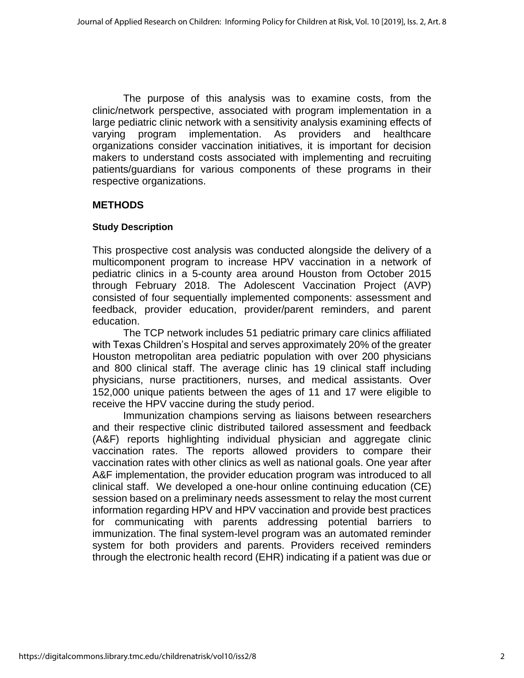The purpose of this analysis was to examine costs, from the clinic/network perspective, associated with program implementation in a large pediatric clinic network with a sensitivity analysis examining effects of varying program implementation. As providers and healthcare organizations consider vaccination initiatives, it is important for decision makers to understand costs associated with implementing and recruiting patients/guardians for various components of these programs in their respective organizations.

#### **METHODS**

#### **Study Description**

This prospective cost analysis was conducted alongside the delivery of a multicomponent program to increase HPV vaccination in a network of pediatric clinics in a 5-county area around Houston from October 2015 through February 2018. The Adolescent Vaccination Project (AVP) consisted of four sequentially implemented components: assessment and feedback, provider education, provider/parent reminders, and parent education.

The TCP network includes 51 pediatric primary care clinics affiliated with Texas Children's Hospital and serves approximately 20% of the greater Houston metropolitan area pediatric population with over 200 physicians and 800 clinical staff. The average clinic has 19 clinical staff including physicians, nurse practitioners, nurses, and medical assistants. Over 152,000 unique patients between the ages of 11 and 17 were eligible to receive the HPV vaccine during the study period.

Immunization champions serving as liaisons between researchers and their respective clinic distributed tailored assessment and feedback (A&F) reports highlighting individual physician and aggregate clinic vaccination rates. The reports allowed providers to compare their vaccination rates with other clinics as well as national goals. One year after A&F implementation, the provider education program was introduced to all clinical staff. We developed a one-hour online continuing education (CE) session based on a preliminary needs assessment to relay the most current information regarding HPV and HPV vaccination and provide best practices for communicating with parents addressing potential barriers to immunization. The final system-level program was an automated reminder system for both providers and parents. Providers received reminders through the electronic health record (EHR) indicating if a patient was due or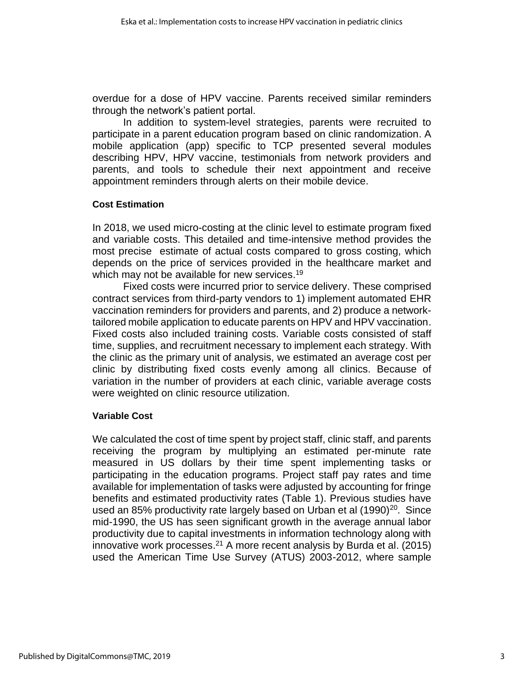overdue for a dose of HPV vaccine. Parents received similar reminders through the network's patient portal.

In addition to system-level strategies, parents were recruited to participate in a parent education program based on clinic randomization. A mobile application (app) specific to TCP presented several modules describing HPV, HPV vaccine, testimonials from network providers and parents, and tools to schedule their next appointment and receive appointment reminders through alerts on their mobile device.

#### **Cost Estimation**

In 2018, we used micro-costing at the clinic level to estimate program fixed and variable costs. This detailed and time-intensive method provides the most precise estimate of actual costs compared to gross costing, which depends on the price of services provided in the healthcare market and which may not be available for new services.<sup>19</sup>

Fixed costs were incurred prior to service delivery. These comprised contract services from third-party vendors to 1) implement automated EHR vaccination reminders for providers and parents, and 2) produce a networktailored mobile application to educate parents on HPV and HPV vaccination. Fixed costs also included training costs. Variable costs consisted of staff time, supplies, and recruitment necessary to implement each strategy. With the clinic as the primary unit of analysis, we estimated an average cost per clinic by distributing fixed costs evenly among all clinics. Because of variation in the number of providers at each clinic, variable average costs were weighted on clinic resource utilization.

#### **Variable Cost**

We calculated the cost of time spent by project staff, clinic staff, and parents receiving the program by multiplying an estimated per-minute rate measured in US dollars by their time spent implementing tasks or participating in the education programs. Project staff pay rates and time available for implementation of tasks were adjusted by accounting for fringe benefits and estimated productivity rates (Table 1). Previous studies have used an 85% productivity rate largely based on Urban et al  $(1990)^{20}$ . Since mid-1990, the US has seen significant growth in the average annual labor productivity due to capital investments in information technology along with innovative work processes. <sup>21</sup> A more recent analysis by Burda et al. (2015) used the American Time Use Survey (ATUS) 2003-2012, where sample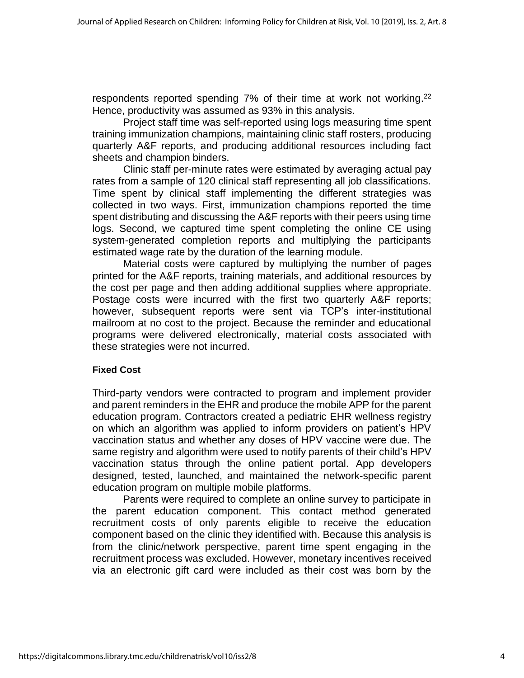respondents reported spending 7% of their time at work not working.<sup>22</sup> Hence, productivity was assumed as 93% in this analysis.

Project staff time was self-reported using logs measuring time spent training immunization champions, maintaining clinic staff rosters, producing quarterly A&F reports, and producing additional resources including fact sheets and champion binders.

Clinic staff per-minute rates were estimated by averaging actual pay rates from a sample of 120 clinical staff representing all job classifications. Time spent by clinical staff implementing the different strategies was collected in two ways. First, immunization champions reported the time spent distributing and discussing the A&F reports with their peers using time logs. Second, we captured time spent completing the online CE using system-generated completion reports and multiplying the participants estimated wage rate by the duration of the learning module.

Material costs were captured by multiplying the number of pages printed for the A&F reports, training materials, and additional resources by the cost per page and then adding additional supplies where appropriate. Postage costs were incurred with the first two quarterly A&F reports; however, subsequent reports were sent via TCP's inter-institutional mailroom at no cost to the project. Because the reminder and educational programs were delivered electronically, material costs associated with these strategies were not incurred.

#### **Fixed Cost**

Third-party vendors were contracted to program and implement provider and parent reminders in the EHR and produce the mobile APP for the parent education program. Contractors created a pediatric EHR wellness registry on which an algorithm was applied to inform providers on patient's HPV vaccination status and whether any doses of HPV vaccine were due. The same registry and algorithm were used to notify parents of their child's HPV vaccination status through the online patient portal. App developers designed, tested, launched, and maintained the network-specific parent education program on multiple mobile platforms.

Parents were required to complete an online survey to participate in the parent education component. This contact method generated recruitment costs of only parents eligible to receive the education component based on the clinic they identified with. Because this analysis is from the clinic/network perspective, parent time spent engaging in the recruitment process was excluded. However, monetary incentives received via an electronic gift card were included as their cost was born by the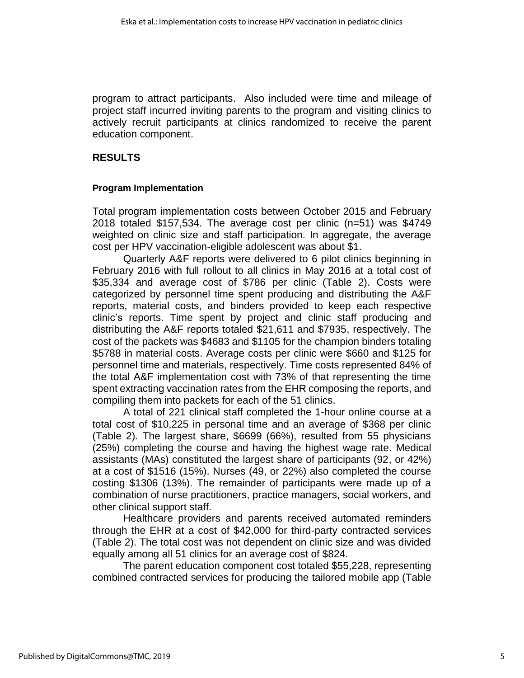program to attract participants. Also included were time and mileage of project staff incurred inviting parents to the program and visiting clinics to actively recruit participants at clinics randomized to receive the parent education component.

#### **RESULTS**

#### **Program Implementation**

Total program implementation costs between October 2015 and February 2018 totaled \$157,534. The average cost per clinic (n=51) was \$4749 weighted on clinic size and staff participation. In aggregate, the average cost per HPV vaccination-eligible adolescent was about \$1.

Quarterly A&F reports were delivered to 6 pilot clinics beginning in February 2016 with full rollout to all clinics in May 2016 at a total cost of \$35,334 and average cost of \$786 per clinic (Table 2). Costs were categorized by personnel time spent producing and distributing the A&F reports, material costs, and binders provided to keep each respective clinic's reports. Time spent by project and clinic staff producing and distributing the A&F reports totaled \$21,611 and \$7935, respectively. The cost of the packets was \$4683 and \$1105 for the champion binders totaling \$5788 in material costs. Average costs per clinic were \$660 and \$125 for personnel time and materials, respectively. Time costs represented 84% of the total A&F implementation cost with 73% of that representing the time spent extracting vaccination rates from the EHR composing the reports, and compiling them into packets for each of the 51 clinics.

A total of 221 clinical staff completed the 1-hour online course at a total cost of \$10,225 in personal time and an average of \$368 per clinic (Table 2). The largest share, \$6699 (66%), resulted from 55 physicians (25%) completing the course and having the highest wage rate. Medical assistants (MAs) constituted the largest share of participants (92, or 42%) at a cost of \$1516 (15%). Nurses (49, or 22%) also completed the course costing \$1306 (13%). The remainder of participants were made up of a combination of nurse practitioners, practice managers, social workers, and other clinical support staff.

Healthcare providers and parents received automated reminders through the EHR at a cost of \$42,000 for third-party contracted services (Table 2). The total cost was not dependent on clinic size and was divided equally among all 51 clinics for an average cost of \$824.

The parent education component cost totaled \$55,228, representing combined contracted services for producing the tailored mobile app (Table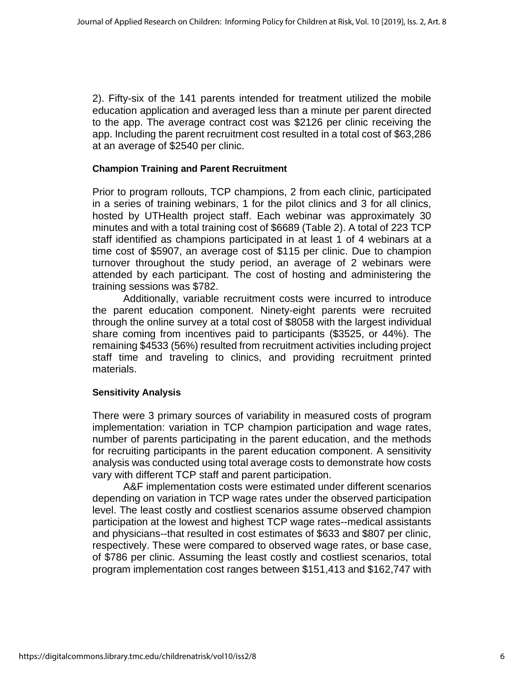2). Fifty-six of the 141 parents intended for treatment utilized the mobile education application and averaged less than a minute per parent directed to the app. The average contract cost was \$2126 per clinic receiving the app. Including the parent recruitment cost resulted in a total cost of \$63,286 at an average of \$2540 per clinic.

#### **Champion Training and Parent Recruitment**

Prior to program rollouts, TCP champions, 2 from each clinic, participated in a series of training webinars, 1 for the pilot clinics and 3 for all clinics, hosted by UTHealth project staff. Each webinar was approximately 30 minutes and with a total training cost of \$6689 (Table 2). A total of 223 TCP staff identified as champions participated in at least 1 of 4 webinars at a time cost of \$5907, an average cost of \$115 per clinic. Due to champion turnover throughout the study period, an average of 2 webinars were attended by each participant. The cost of hosting and administering the training sessions was \$782.

Additionally, variable recruitment costs were incurred to introduce the parent education component. Ninety-eight parents were recruited through the online survey at a total cost of \$8058 with the largest individual share coming from incentives paid to participants (\$3525, or 44%). The remaining \$4533 (56%) resulted from recruitment activities including project staff time and traveling to clinics, and providing recruitment printed materials.

#### **Sensitivity Analysis**

There were 3 primary sources of variability in measured costs of program implementation: variation in TCP champion participation and wage rates, number of parents participating in the parent education, and the methods for recruiting participants in the parent education component. A sensitivity analysis was conducted using total average costs to demonstrate how costs vary with different TCP staff and parent participation.

A&F implementation costs were estimated under different scenarios depending on variation in TCP wage rates under the observed participation level. The least costly and costliest scenarios assume observed champion participation at the lowest and highest TCP wage rates--medical assistants and physicians--that resulted in cost estimates of \$633 and \$807 per clinic, respectively. These were compared to observed wage rates, or base case, of \$786 per clinic. Assuming the least costly and costliest scenarios, total program implementation cost ranges between \$151,413 and \$162,747 with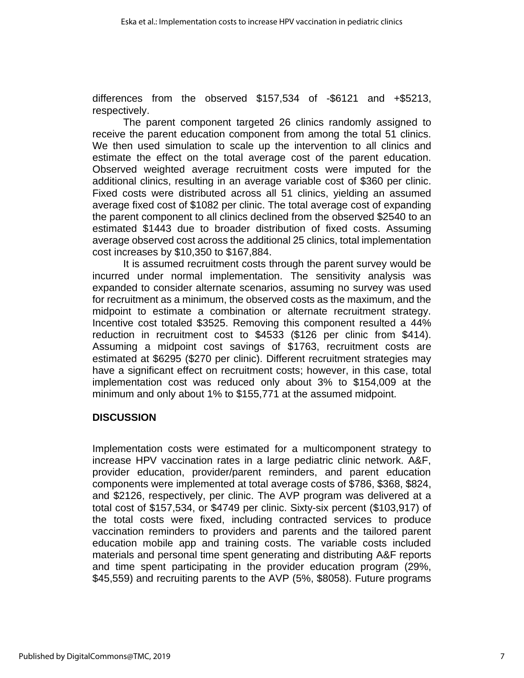differences from the observed \$157,534 of -\$6121 and +\$5213, respectively.

The parent component targeted 26 clinics randomly assigned to receive the parent education component from among the total 51 clinics. We then used simulation to scale up the intervention to all clinics and estimate the effect on the total average cost of the parent education. Observed weighted average recruitment costs were imputed for the additional clinics, resulting in an average variable cost of \$360 per clinic. Fixed costs were distributed across all 51 clinics, yielding an assumed average fixed cost of \$1082 per clinic. The total average cost of expanding the parent component to all clinics declined from the observed \$2540 to an estimated \$1443 due to broader distribution of fixed costs. Assuming average observed cost across the additional 25 clinics, total implementation cost increases by \$10,350 to \$167,884.

It is assumed recruitment costs through the parent survey would be incurred under normal implementation. The sensitivity analysis was expanded to consider alternate scenarios, assuming no survey was used for recruitment as a minimum, the observed costs as the maximum, and the midpoint to estimate a combination or alternate recruitment strategy. Incentive cost totaled \$3525. Removing this component resulted a 44% reduction in recruitment cost to \$4533 (\$126 per clinic from \$414). Assuming a midpoint cost savings of \$1763, recruitment costs are estimated at \$6295 (\$270 per clinic). Different recruitment strategies may have a significant effect on recruitment costs; however, in this case, total implementation cost was reduced only about 3% to \$154,009 at the minimum and only about 1% to \$155,771 at the assumed midpoint.

### **DISCUSSION**

Implementation costs were estimated for a multicomponent strategy to increase HPV vaccination rates in a large pediatric clinic network. A&F, provider education, provider/parent reminders, and parent education components were implemented at total average costs of \$786, \$368, \$824, and \$2126, respectively, per clinic. The AVP program was delivered at a total cost of \$157,534, or \$4749 per clinic. Sixty-six percent (\$103,917) of the total costs were fixed, including contracted services to produce vaccination reminders to providers and parents and the tailored parent education mobile app and training costs. The variable costs included materials and personal time spent generating and distributing A&F reports and time spent participating in the provider education program (29%, \$45,559) and recruiting parents to the AVP (5%, \$8058). Future programs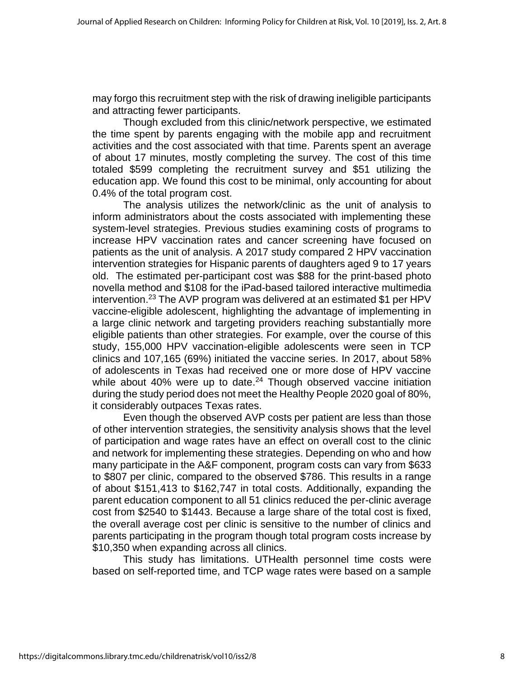may forgo this recruitment step with the risk of drawing ineligible participants and attracting fewer participants.

Though excluded from this clinic/network perspective, we estimated the time spent by parents engaging with the mobile app and recruitment activities and the cost associated with that time. Parents spent an average of about 17 minutes, mostly completing the survey. The cost of this time totaled \$599 completing the recruitment survey and \$51 utilizing the education app. We found this cost to be minimal, only accounting for about 0.4% of the total program cost.

The analysis utilizes the network/clinic as the unit of analysis to inform administrators about the costs associated with implementing these system-level strategies. Previous studies examining costs of programs to increase HPV vaccination rates and cancer screening have focused on patients as the unit of analysis. A 2017 study compared 2 HPV vaccination intervention strategies for Hispanic parents of daughters aged 9 to 17 years old. The estimated per-participant cost was \$88 for the print-based photo novella method and \$108 for the iPad-based tailored interactive multimedia intervention. <sup>23</sup> The AVP program was delivered at an estimated \$1 per HPV vaccine-eligible adolescent, highlighting the advantage of implementing in a large clinic network and targeting providers reaching substantially more eligible patients than other strategies. For example, over the course of this study, 155,000 HPV vaccination-eligible adolescents were seen in TCP clinics and 107,165 (69%) initiated the vaccine series. In 2017, about 58% of adolescents in Texas had received one or more dose of HPV vaccine while about 40% were up to date.<sup>24</sup> Though observed vaccine initiation during the study period does not meet the Healthy People 2020 goal of 80%, it considerably outpaces Texas rates.

Even though the observed AVP costs per patient are less than those of other intervention strategies, the sensitivity analysis shows that the level of participation and wage rates have an effect on overall cost to the clinic and network for implementing these strategies. Depending on who and how many participate in the A&F component, program costs can vary from \$633 to \$807 per clinic, compared to the observed \$786. This results in a range of about \$151,413 to \$162,747 in total costs. Additionally, expanding the parent education component to all 51 clinics reduced the per-clinic average cost from \$2540 to \$1443. Because a large share of the total cost is fixed, the overall average cost per clinic is sensitive to the number of clinics and parents participating in the program though total program costs increase by \$10,350 when expanding across all clinics.

This study has limitations. UTHealth personnel time costs were based on self-reported time, and TCP wage rates were based on a sample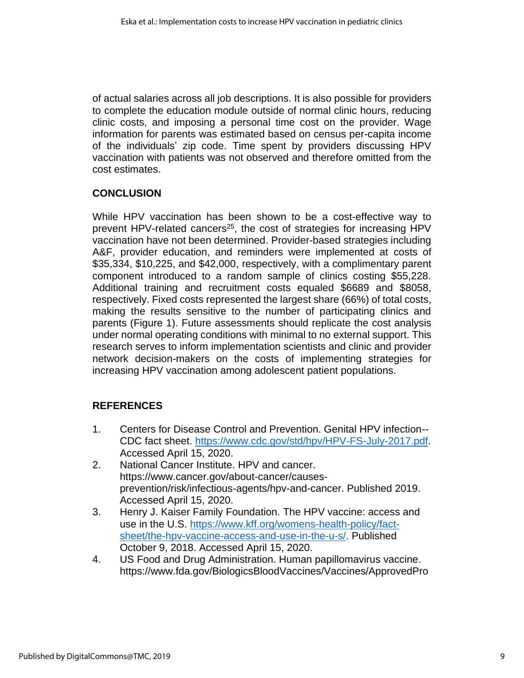of actual salaries across all job descriptions. It is also possible for providers to complete the education module outside of normal clinic hours, reducing clinic costs, and imposing a personal time cost on the provider. Wage information for parents was estimated based on census per-capita income of the individuals' zip code. Time spent by providers discussing HPV vaccination with patients was not observed and therefore omitted from the cost estimates.

### **CONCLUSION**

While HPV vaccination has been shown to be a cost-effective way to prevent HPV-related cancers<sup>25</sup>, the cost of strategies for increasing HPV vaccination have not been determined. Provider-based strategies including A&F, provider education, and reminders were implemented at costs of \$35,334, \$10,225, and \$42,000, respectively, with a complimentary parent component introduced to a random sample of clinics costing \$55,228. Additional training and recruitment costs equaled \$6689 and \$8058, respectively. Fixed costs represented the largest share (66%) of total costs, making the results sensitive to the number of participating clinics and parents (Figure 1). Future assessments should replicate the cost analysis under normal operating conditions with minimal to no external support. This research serves to inform implementation scientists and clinic and provider network decision-makers on the costs of implementing strategies for increasing HPV vaccination among adolescent patient populations.

### **REFERENCES**

- 1. Centers for Disease Control and Prevention. Genital HPV infection-- CDC fact sheet. [https://www.cdc.gov/std/hpv/HPV-FS-July-2017.pdf.](https://www.cdc.gov/std/hpv/HPV-FS-July-2017.pdf) Accessed April 15, 2020.
- 2. National Cancer Institute. HPV and cancer. https://www.cancer.gov/about-cancer/causesprevention/risk/infectious-agents/hpv-and-cancer. Published 2019. Accessed April 15, 2020.
- 3. Henry J. Kaiser Family Foundation. The HPV vaccine: access and use in the U.S. [https://www.kff.org/womens-health-policy/fact](https://www.kff.org/womens-health-policy/fact-sheet/the-hpv-vaccine-access-and-use-in-the-u-s/)[sheet/the-hpv-vaccine-access-and-use-in-the-u-s/.](https://www.kff.org/womens-health-policy/fact-sheet/the-hpv-vaccine-access-and-use-in-the-u-s/) Published October 9, 2018. Accessed April 15, 2020.
- 4. US Food and Drug Administration. Human papillomavirus vaccine. https://www.fda.gov/BiologicsBloodVaccines/Vaccines/ApprovedPro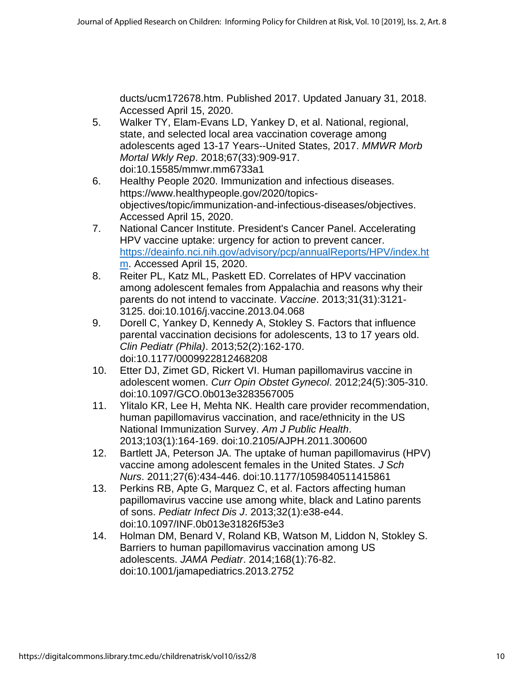ducts/ucm172678.htm. Published 2017. Updated January 31, 2018. Accessed April 15, 2020.

- 5. Walker TY, Elam-Evans LD, Yankey D, et al. National, regional, state, and selected local area vaccination coverage among adolescents aged 13-17 Years--United States, 2017. *MMWR Morb Mortal Wkly Rep*. 2018;67(33):909-917. doi:10.15585/mmwr.mm6733a1
- 6. Healthy People 2020. Immunization and infectious diseases. https://www.healthypeople.gov/2020/topicsobjectives/topic/immunization-and-infectious-diseases/objectives. Accessed April 15, 2020.
- 7. National Cancer Institute. President's Cancer Panel. Accelerating HPV vaccine uptake: urgency for action to prevent cancer. [https://deainfo.nci.nih.gov/advisory/pcp/annualReports/HPV/index.ht](https://deainfo.nci.nih.gov/advisory/pcp/annualReports/HPV/index.htm) [m.](https://deainfo.nci.nih.gov/advisory/pcp/annualReports/HPV/index.htm) Accessed April 15, 2020.
- 8. Reiter PL, Katz ML, Paskett ED. Correlates of HPV vaccination among adolescent females from Appalachia and reasons why their parents do not intend to vaccinate. *Vaccine*. 2013;31(31):3121- 3125. doi:10.1016/j.vaccine.2013.04.068
- 9. Dorell C, Yankey D, Kennedy A, Stokley S. Factors that influence parental vaccination decisions for adolescents, 13 to 17 years old. *Clin Pediatr (Phila)*. 2013;52(2):162-170. doi:10.1177/0009922812468208
- 10. Etter DJ, Zimet GD, Rickert VI. Human papillomavirus vaccine in adolescent women. *Curr Opin Obstet Gynecol*. 2012;24(5):305-310. doi:10.1097/GCO.0b013e3283567005
- 11. Ylitalo KR, Lee H, Mehta NK. Health care provider recommendation, human papillomavirus vaccination, and race/ethnicity in the US National Immunization Survey. *Am J Public Health*. 2013;103(1):164-169. doi:10.2105/AJPH.2011.300600
- 12. Bartlett JA, Peterson JA. The uptake of human papillomavirus (HPV) vaccine among adolescent females in the United States. *J Sch Nurs*. 2011;27(6):434-446. doi:10.1177/1059840511415861
- 13. Perkins RB, Apte G, Marquez C, et al. Factors affecting human papillomavirus vaccine use among white, black and Latino parents of sons. *Pediatr Infect Dis J*. 2013;32(1):e38-e44. doi:10.1097/INF.0b013e31826f53e3
- 14. Holman DM, Benard V, Roland KB, Watson M, Liddon N, Stokley S. Barriers to human papillomavirus vaccination among US adolescents. *JAMA Pediatr*. 2014;168(1):76-82. doi:10.1001/jamapediatrics.2013.2752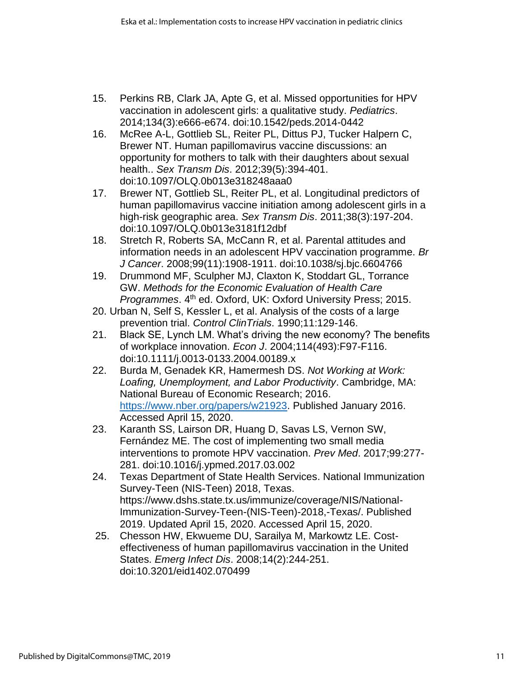- 15. Perkins RB, Clark JA, Apte G, et al. Missed opportunities for HPV vaccination in adolescent girls: a qualitative study. *Pediatrics*. 2014;134(3):e666-e674. doi:10.1542/peds.2014-0442
- 16. McRee A-L, Gottlieb SL, Reiter PL, Dittus PJ, Tucker Halpern C, Brewer NT. Human papillomavirus vaccine discussions: an opportunity for mothers to talk with their daughters about sexual health.. *Sex Transm Dis*. 2012;39(5):394-401. doi:10.1097/OLQ.0b013e318248aaa0
- 17. Brewer NT, Gottlieb SL, Reiter PL, et al. Longitudinal predictors of human papillomavirus vaccine initiation among adolescent girls in a high-risk geographic area. *Sex Transm Dis*. 2011;38(3):197-204. doi:10.1097/OLQ.0b013e3181f12dbf
- 18. Stretch R, Roberts SA, McCann R, et al. Parental attitudes and information needs in an adolescent HPV vaccination programme. *Br J Cancer*. 2008;99(11):1908-1911. doi:10.1038/sj.bjc.6604766
- 19. Drummond MF, Sculpher MJ, Claxton K, Stoddart GL, Torrance GW. *Methods for the Economic Evaluation of Health Care Programmes*. 4<sup>th</sup> ed. Oxford, UK: Oxford University Press; 2015.
- 20. Urban N, Self S, Kessler L, et al. Analysis of the costs of a large prevention trial. *Control ClinTrials*. 1990;11:129-146.
- 21. Black SE, Lynch LM. What's driving the new economy? The benefits of workplace innovation. *Econ J*. 2004;114(493):F97-F116. doi:10.1111/j.0013-0133.2004.00189.x
- 22. Burda M, Genadek KR, Hamermesh DS. *Not Working at Work: Loafing, Unemployment, and Labor Productivity*. Cambridge, MA: National Bureau of Economic Research; 2016. [https://www.nber.org/papers/w21923.](https://www.nber.org/papers/w21923) Published January 2016. Accessed April 15, 2020.
- 23. Karanth SS, Lairson DR, Huang D, Savas LS, Vernon SW, Fernández ME. The cost of implementing two small media interventions to promote HPV vaccination. *Prev Med*. 2017;99:277- 281. doi:10.1016/j.ypmed.2017.03.002
- 24. Texas Department of State Health Services. National Immunization Survey-Teen (NIS-Teen) 2018, Texas. https://www.dshs.state.tx.us/immunize/coverage/NIS/National-Immunization-Survey-Teen-(NIS-Teen)-2018,-Texas/. Published 2019. Updated April 15, 2020. Accessed April 15, 2020.
- 25. Chesson HW, Ekwueme DU, Sarailya M, Markowtz LE. Costeffectiveness of human papillomavirus vaccination in the United States. *Emerg Infect Dis*. 2008;14(2):244-251. doi:10.3201/eid1402.070499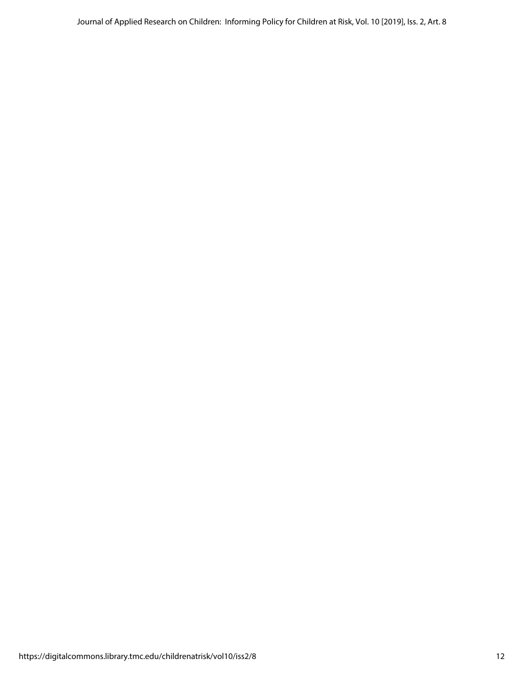Journal of Applied Research on Children: Informing Policy for Children at Risk, Vol. 10 [2019], Iss. 2, Art. 8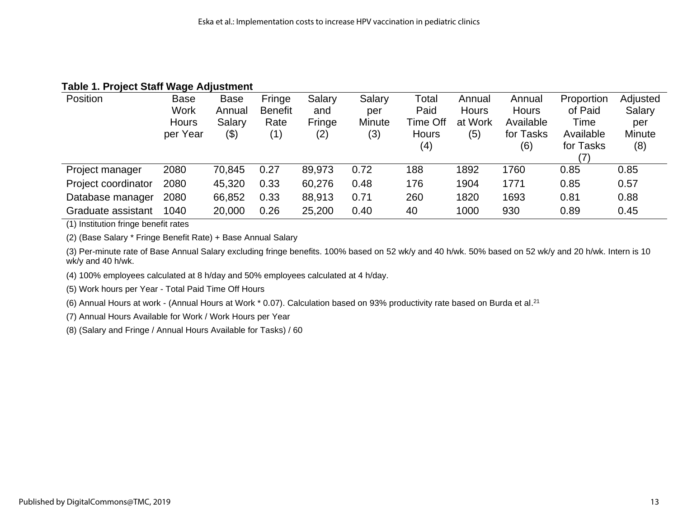#### **Table 1. Project Staff Wage Adjustment**

| Position            | <b>Base</b>  | <b>Base</b> | Fringe         | Salary | Salary        | Total        | Annual       | Annual       | Proportion | Adjusted      |
|---------------------|--------------|-------------|----------------|--------|---------------|--------------|--------------|--------------|------------|---------------|
|                     | Work         | Annual      | <b>Benefit</b> | and    | per           | Paid         | <b>Hours</b> | <b>Hours</b> | of Paid    | Salary        |
|                     | <b>Hours</b> | Salary      | Rate           | Fringe | <b>Minute</b> | Time Off     | at Work      | Available    | Time       | per           |
|                     | per Year     | $(\$)$      | (1)            | (2)    | (3)           | <b>Hours</b> | (5)          | for Tasks    | Available  | <b>Minute</b> |
|                     |              |             |                |        |               | (4)          |              | (6)          | for Tasks  | (8)           |
|                     |              |             |                |        |               |              |              |              |            |               |
| Project manager     | 2080         | 70,845      | 0.27           | 89,973 | 0.72          | 188          | 1892         | 1760         | 0.85       | 0.85          |
| Project coordinator | 2080         | 45,320      | 0.33           | 60,276 | 0.48          | 176          | 1904         | 1771         | 0.85       | 0.57          |
| Database manager    | 2080         | 66,852      | 0.33           | 88,913 | 0.71          | 260          | 1820         | 1693         | 0.81       | 0.88          |
| Graduate assistant  | 1040         | 20,000      | 0.26           | 25,200 | 0.40          | 40           | 1000         | 930          | 0.89       | 0.45          |

(1) Institution fringe benefit rates

(2) (Base Salary \* Fringe Benefit Rate) + Base Annual Salary

(3) Per-minute rate of Base Annual Salary excluding fringe benefits. 100% based on 52 wk/y and 40 h/wk. 50% based on 52 wk/y and 20 h/wk. Intern is 10 wk/y and 40 h/wk.

(4) 100% employees calculated at 8 h/day and 50% employees calculated at 4 h/day.

(5) Work hours per Year - Total Paid Time Off Hours

(6) Annual Hours at work - (Annual Hours at Work \* 0.07). Calculation based on 93% productivity rate based on Burda et al. 21

(7) Annual Hours Available for Work / Work Hours per Year

(8) (Salary and Fringe / Annual Hours Available for Tasks) / 60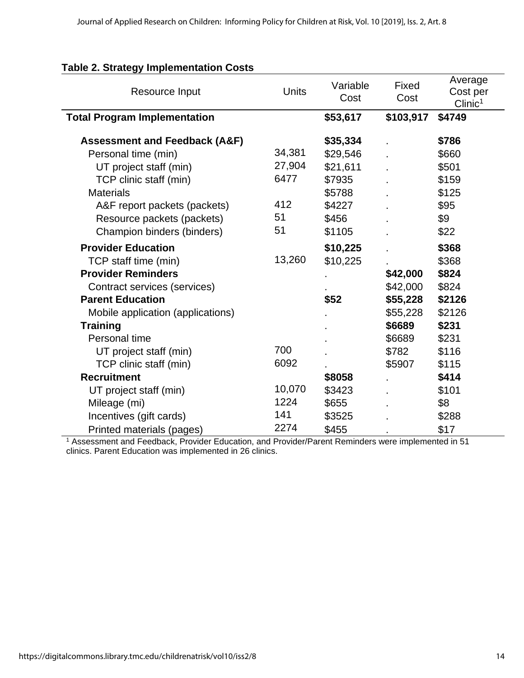## **Table 2. Strategy Implementation Costs**

| Resource Input                           | <b>Units</b> | Variable<br>Cost | Fixed<br>Cost | Average<br>Cost per<br>Clinic <sup>1</sup> |  |
|------------------------------------------|--------------|------------------|---------------|--------------------------------------------|--|
| <b>Total Program Implementation</b>      |              | \$53,617         | \$103,917     | \$4749                                     |  |
| <b>Assessment and Feedback (A&amp;F)</b> |              | \$35,334         |               | \$786                                      |  |
| Personal time (min)                      | 34,381       | \$29,546         |               | \$660                                      |  |
| UT project staff (min)                   | 27,904       | \$21,611         |               | \$501                                      |  |
| TCP clinic staff (min)                   | 6477         | \$7935           |               | \$159                                      |  |
| <b>Materials</b>                         |              | \$5788           |               | \$125                                      |  |
| A&F report packets (packets)             | 412          | \$4227           |               | \$95                                       |  |
| Resource packets (packets)               | 51           | \$456            |               | \$9                                        |  |
| Champion binders (binders)               | 51           | \$1105           |               | \$22                                       |  |
| <b>Provider Education</b>                |              | \$10,225         |               | \$368                                      |  |
| TCP staff time (min)                     | 13,260       | \$10,225         |               | \$368                                      |  |
| <b>Provider Reminders</b>                |              |                  | \$42,000      | \$824                                      |  |
| Contract services (services)             |              |                  | \$42,000      | \$824                                      |  |
| <b>Parent Education</b>                  |              | \$52             | \$55,228      | \$2126                                     |  |
| Mobile application (applications)        |              |                  | \$55,228      | \$2126                                     |  |
| <b>Training</b>                          |              |                  | \$6689        | \$231                                      |  |
| Personal time                            |              |                  | \$6689        | \$231                                      |  |
| UT project staff (min)                   | 700          |                  | \$782         | \$116                                      |  |
| TCP clinic staff (min)                   | 6092         |                  | \$5907        | \$115                                      |  |
| <b>Recruitment</b>                       |              | \$8058           |               | \$414                                      |  |
| UT project staff (min)                   | 10,070       | \$3423           |               | \$101                                      |  |
| Mileage (mi)                             | 1224         | \$655            |               | \$8                                        |  |
| Incentives (gift cards)                  | 141          | \$3525           |               | \$288                                      |  |
| Printed materials (pages)                | 2274         | \$455            |               | \$17                                       |  |

<sup>1</sup> Assessment and Feedback, Provider Education, and Provider/Parent Reminders were implemented in 51 clinics. Parent Education was implemented in 26 clinics.